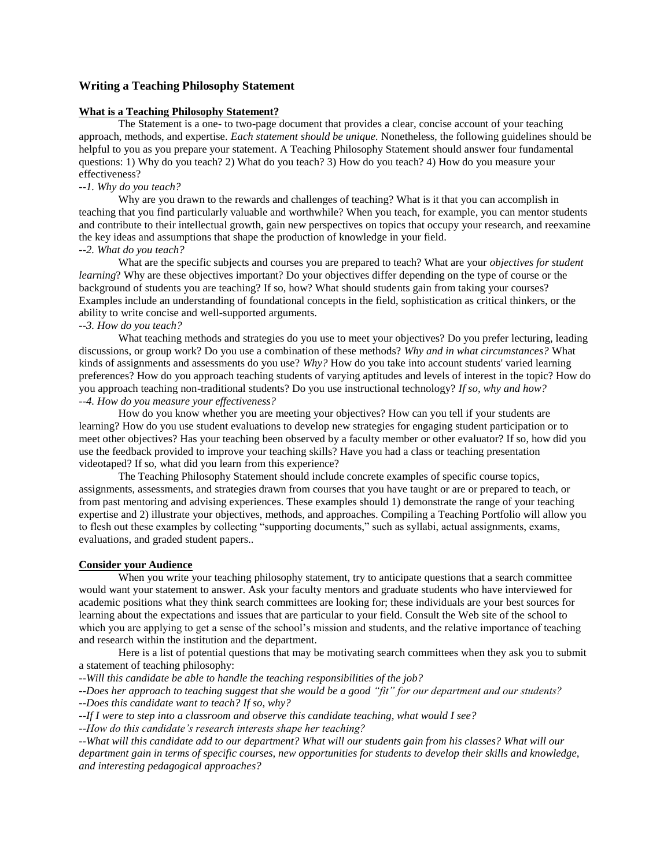## **Writing a Teaching Philosophy Statement**

#### **What is a Teaching Philosophy Statement?**

The Statement is a one- to two-page document that provides a clear, concise account of your teaching approach, methods, and expertise. *Each statement should be unique.* Nonetheless, the following guidelines should be helpful to you as you prepare your statement. A Teaching Philosophy Statement should answer four fundamental questions: 1) Why do you teach? 2) What do you teach? 3) How do you teach? 4) How do you measure your effectiveness?

# *--1. Why do you teach?*

Why are you drawn to the rewards and challenges of teaching? What is it that you can accomplish in teaching that you find particularly valuable and worthwhile? When you teach, for example, you can mentor students and contribute to their intellectual growth, gain new perspectives on topics that occupy your research, and reexamine the key ideas and assumptions that shape the production of knowledge in your field.

### *--2. What do you teach?*

What are the specific subjects and courses you are prepared to teach? What are your *objectives for student learning*? Why are these objectives important? Do your objectives differ depending on the type of course or the background of students you are teaching? If so, how? What should students gain from taking your courses? Examples include an understanding of foundational concepts in the field, sophistication as critical thinkers, or the ability to write concise and well-supported arguments.

# *--3. How do you teach?*

What teaching methods and strategies do you use to meet your objectives? Do you prefer lecturing, leading discussions, or group work? Do you use a combination of these methods? *Why and in what circumstances?* What kinds of assignments and assessments do you use? *Why?* How do you take into account students' varied learning preferences? How do you approach teaching students of varying aptitudes and levels of interest in the topic? How do you approach teaching non-traditional students? Do you use instructional technology? *If so, why and how? --4. How do you measure your effectiveness?*

How do you know whether you are meeting your objectives? How can you tell if your students are learning? How do you use student evaluations to develop new strategies for engaging student participation or to meet other objectives? Has your teaching been observed by a faculty member or other evaluator? If so, how did you use the feedback provided to improve your teaching skills? Have you had a class or teaching presentation videotaped? If so, what did you learn from this experience?

The Teaching Philosophy Statement should include concrete examples of specific course topics, assignments, assessments, and strategies drawn from courses that you have taught or are or prepared to teach, or from past mentoring and advising experiences. These examples should 1) demonstrate the range of your teaching expertise and 2) illustrate your objectives, methods, and approaches. Compiling a Teaching Portfolio will allow you to flesh out these examples by collecting "supporting documents," such as syllabi, actual assignments, exams, evaluations, and graded student papers..

## **Consider your Audience**

When you write your teaching philosophy statement, try to anticipate questions that a search committee would want your statement to answer. Ask your faculty mentors and graduate students who have interviewed for academic positions what they think search committees are looking for; these individuals are your best sources for learning about the expectations and issues that are particular to your field. Consult the Web site of the school to which you are applying to get a sense of the school's mission and students, and the relative importance of teaching and research within the institution and the department.

Here is a list of potential questions that may be motivating search committees when they ask you to submit a statement of teaching philosophy:

*--Will this candidate be able to handle the teaching responsibilities of the job?*

*--Does her approach to teaching suggest that she would be a good "fit" for our department and our students? --Does this candidate want to teach? If so, why?*

*--If I were to step into a classroom and observe this candidate teaching, what would I see?*

*--How do this candidate's research interests shape her teaching?*

*--What will this candidate add to our department? What will our students gain from his classes? What will our department gain in terms of specific courses, new opportunities for students to develop their skills and knowledge, and interesting pedagogical approaches?*